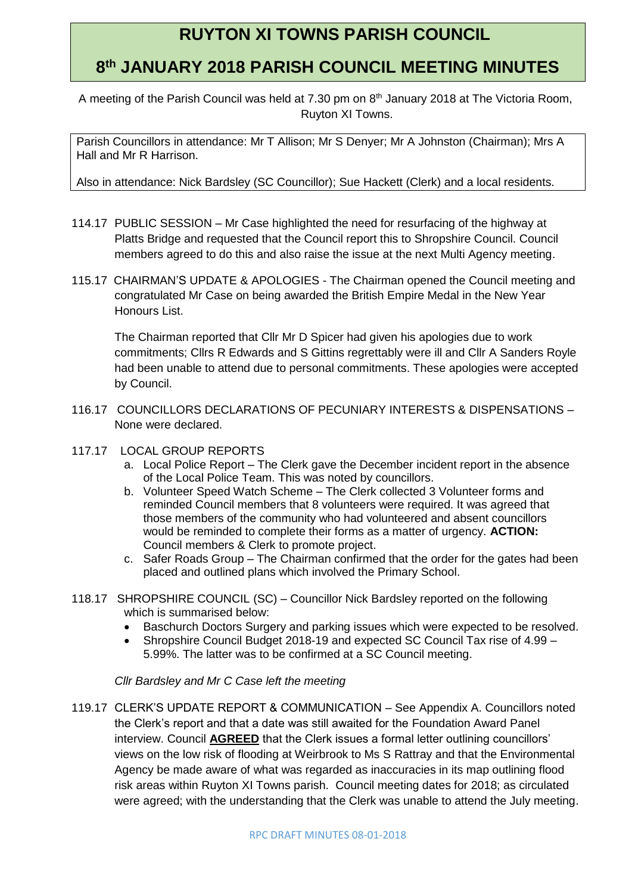## **RUYTON XI TOWNS PARISH COUNCIL**

## **8 th JANUARY 2018 PARISH COUNCIL MEETING MINUTES**

A meeting of the Parish Council was held at 7.30 pm on 8<sup>th</sup> January 2018 at The Victoria Room, Ruyton XI Towns.

Parish Councillors in attendance: Mr T Allison; Mr S Denyer; Mr A Johnston (Chairman); Mrs A Hall and Mr R Harrison.

Also in attendance: Nick Bardsley (SC Councillor); Sue Hackett (Clerk) and a local residents.

- 114.17 PUBLIC SESSION Mr Case highlighted the need for resurfacing of the highway at Platts Bridge and requested that the Council report this to Shropshire Council. Council members agreed to do this and also raise the issue at the next Multi Agency meeting.
- 115.17 CHAIRMAN'S UPDATE & APOLOGIES The Chairman opened the Council meeting and congratulated Mr Case on being awarded the British Empire Medal in the New Year Honours List.

The Chairman reported that Cllr Mr D Spicer had given his apologies due to work commitments; Cllrs R Edwards and S Gittins regrettably were ill and Cllr A Sanders Royle had been unable to attend due to personal commitments. These apologies were accepted by Council.

- 116.17 COUNCILLORS DECLARATIONS OF PECUNIARY INTERESTS & DISPENSATIONS None were declared.
- 117.17 LOCAL GROUP REPORTS
	- a. Local Police Report The Clerk gave the December incident report in the absence of the Local Police Team. This was noted by councillors.
	- b. Volunteer Speed Watch Scheme The Clerk collected 3 Volunteer forms and reminded Council members that 8 volunteers were required. It was agreed that those members of the community who had volunteered and absent councillors would be reminded to complete their forms as a matter of urgency. **ACTION:** Council members & Clerk to promote project.
	- c. Safer Roads Group The Chairman confirmed that the order for the gates had been placed and outlined plans which involved the Primary School.
- 118.17 SHROPSHIRE COUNCIL (SC) Councillor Nick Bardsley reported on the following which is summarised below:
	- Baschurch Doctors Surgery and parking issues which were expected to be resolved.
	- Shropshire Council Budget 2018-19 and expected SC Council Tax rise of 4.99 5.99%. The latter was to be confirmed at a SC Council meeting.

*Cllr Bardsley and Mr C Case left the meeting*

119.17 CLERK'S UPDATE REPORT & COMMUNICATION – See Appendix A. Councillors noted the Clerk's report and that a date was still awaited for the Foundation Award Panel interview. Council **AGREED** that the Clerk issues a formal letter outlining councillors' views on the low risk of flooding at Weirbrook to Ms S Rattray and that the Environmental Agency be made aware of what was regarded as inaccuracies in its map outlining flood risk areas within Ruyton XI Towns parish. Council meeting dates for 2018; as circulated were agreed; with the understanding that the Clerk was unable to attend the July meeting.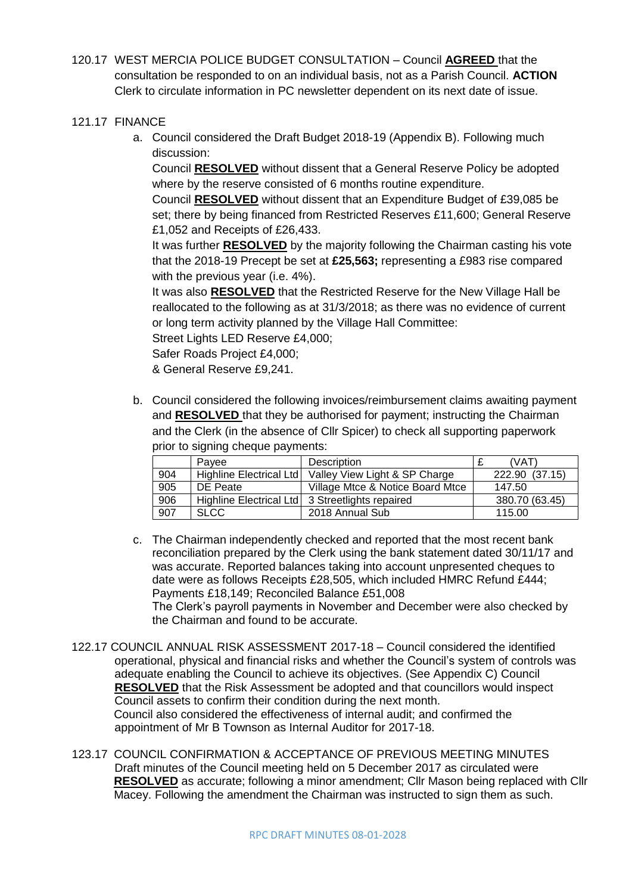- 120.17 WEST MERCIA POLICE BUDGET CONSULTATION Council **AGREED** that the consultation be responded to on an individual basis, not as a Parish Council. **ACTION** Clerk to circulate information in PC newsletter dependent on its next date of issue.
- 121.17 FINANCE
	- a. Council considered the Draft Budget 2018-19 (Appendix B). Following much discussion:

Council **RESOLVED** without dissent that a General Reserve Policy be adopted where by the reserve consisted of 6 months routine expenditure.

Council **RESOLVED** without dissent that an Expenditure Budget of £39,085 be set; there by being financed from Restricted Reserves £11,600; General Reserve £1,052 and Receipts of £26,433.

It was further **RESOLVED** by the majority following the Chairman casting his vote that the 2018-19 Precept be set at **£25,563;** representing a £983 rise compared with the previous year (i.e. 4%).

It was also **RESOLVED** that the Restricted Reserve for the New Village Hall be reallocated to the following as at 31/3/2018; as there was no evidence of current or long term activity planned by the Village Hall Committee:

Street Lights LED Reserve £4,000;

Safer Roads Project £4,000;

& General Reserve £9,241.

b. Council considered the following invoices/reimbursement claims awaiting payment and **RESOLVED** that they be authorised for payment; instructing the Chairman and the Clerk (in the absence of Cllr Spicer) to check all supporting paperwork prior to signing cheque payments:

|     | Pavee                   | <b>Description</b>                              | (VAT)          |  |
|-----|-------------------------|-------------------------------------------------|----------------|--|
| 904 | Highline Electrical Ltd | Valley View Light & SP Charge                   | 222.90 (37.15) |  |
| 905 | DE Peate                | Village Mtce & Notice Board Mtce                | 147.50         |  |
| 906 |                         | Highline Electrical Ltd 3 Streetlights repaired | 380.70 (63.45) |  |
| 907 | <b>SLCC</b>             | 2018 Annual Sub                                 | 115.00         |  |

- c. The Chairman independently checked and reported that the most recent bank reconciliation prepared by the Clerk using the bank statement dated 30/11/17 and was accurate. Reported balances taking into account unpresented cheques to date were as follows Receipts £28,505, which included HMRC Refund £444; Payments £18,149; Reconciled Balance £51,008 The Clerk's payroll payments in November and December were also checked by the Chairman and found to be accurate.
- 122.17 COUNCIL ANNUAL RISK ASSESSMENT 2017-18 Council considered the identified operational, physical and financial risks and whether the Council's system of controls was adequate enabling the Council to achieve its objectives. (See Appendix C) Council **RESOLVED** that the Risk Assessment be adopted and that councillors would inspect Council assets to confirm their condition during the next month. Council also considered the effectiveness of internal audit; and confirmed the appointment of Mr B Townson as Internal Auditor for 2017-18.
- 123.17 COUNCIL CONFIRMATION & ACCEPTANCE OF PREVIOUS MEETING MINUTES Draft minutes of the Council meeting held on 5 December 2017 as circulated were **RESOLVED** as accurate; following a minor amendment; Cllr Mason being replaced with Cllr Macey. Following the amendment the Chairman was instructed to sign them as such.